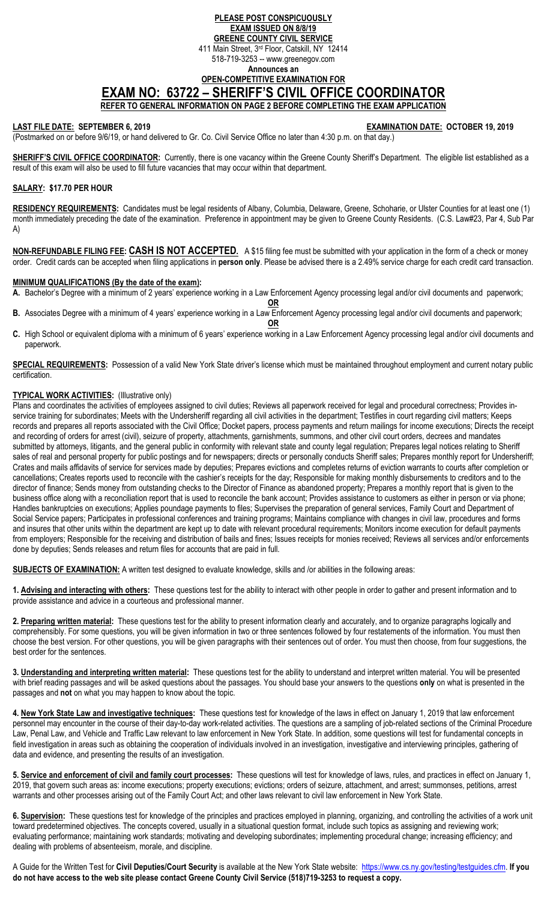## **PLEASE POST CONSPICUOUSLY EXAM ISSUED ON 8/8/19 GREENE COUNTY CIVIL SERVICE**  411 Main Street, 3rd Floor, Catskill, NY 12414 518-719-3253 -- www.greenegov.com **Announces an OPEN-COMPETITIVE EXAMINATION FOR EXAM NO: 63722 – SHERIFF'S CIVIL OFFICE COORDINATOR REFER TO GENERAL INFORMATION ON PAGE 2 BEFORE COMPLETING THE EXAM APPLICATION**

**LAST FILE DATE: SEPTEMBER 6, 2019 EXAMINATION DATE: OCTOBER 19, 2019** 

(Postmarked on or before 9/6/19, or hand delivered to Gr. Co. Civil Service Office no later than 4:30 p.m. on that day.)

SHERIFF'S CIVIL OFFICE COORDINATOR: Currently, there is one vacancy within the Greene County Sheriff's Department. The eligible list established as a result of this exam will also be used to fill future vacancies that may occur within that department.

# **SALARY: \$17.70 PER HOUR**

**RESIDENCY REQUIREMENTS:** Candidates must be legal residents of Albany, Columbia, Delaware, Greene, Schoharie, or Ulster Counties for at least one (1) month immediately preceding the date of the examination. Preference in appointment may be given to Greene County Residents. (C.S. Law#23, Par 4, Sub Par A)

**NON-REFUNDABLE FILING FEE: CASH IS NOT ACCEPTED.** A \$15 filing fee must be submitted with your application in the form of a check or money order. Credit cards can be accepted when filing applications in **person only**. Please be advised there is a 2.49% service charge for each credit card transaction.

### **MINIMUM QUALIFICATIONS (By the date of the exam):**

**A.** Bachelor's Degree with a minimum of 2 years' experience working in a Law Enforcement Agency processing legal and/or civil documents and paperwork;

**OR B.** Associates Degree with a minimum of 4 years' experience working in a Law Enforcement Agency processing legal and/or civil documents and paperwork;

**OR C.** High School or equivalent diploma with a minimum of 6 years' experience working in a Law Enforcement Agency processing legal and/or civil documents and paperwork.

**SPECIAL REQUIREMENTS:** Possession of a valid New York State driver's license which must be maintained throughout employment and current notary public certification.

# **TYPICAL WORK ACTIVITIES:** (Illustrative only)

Plans and coordinates the activities of employees assigned to civil duties; Reviews all paperwork received for legal and procedural correctness; Provides inservice training for subordinates; Meets with the Undersheriff regarding all civil activities in the department; Testifies in court regarding civil matters; Keeps records and prepares all reports associated with the Civil Office; Docket papers, process payments and return mailings for income executions; Directs the receipt and recording of orders for arrest (civil), seizure of property, attachments, garnishments, summons, and other civil court orders, decrees and mandates submitted by attorneys, litigants, and the general public in conformity with relevant state and county legal regulation; Prepares legal notices relating to Sheriff sales of real and personal property for public postings and for newspapers; directs or personally conducts Sheriff sales; Prepares monthly report for Undersheriff; Crates and mails affidavits of service for services made by deputies; Prepares evictions and completes returns of eviction warrants to courts after completion or cancellations; Creates reports used to reconcile with the cashier's receipts for the day; Responsible for making monthly disbursements to creditors and to the director of finance; Sends money from outstanding checks to the Director of Finance as abandoned property; Prepares a monthly report that is given to the business office along with a reconciliation report that is used to reconcile the bank account; Provides assistance to customers as either in person or via phone; Handles bankruptcies on executions; Applies poundage payments to files; Supervises the preparation of general services, Family Court and Department of Social Service papers; Participates in professional conferences and training programs; Maintains compliance with changes in civil law, procedures and forms and insures that other units within the department are kept up to date with relevant procedural requirements; Monitors income execution for default payments from employers; Responsible for the receiving and distribution of bails and fines; Issues receipts for monies received; Reviews all services and/or enforcements done by deputies; Sends releases and return files for accounts that are paid in full.

**SUBJECTS OF EXAMINATION:** A written test designed to evaluate knowledge, skills and /or abilities in the following areas:

**1. Advising and interacting with others:** These questions test for the ability to interact with other people in order to gather and present information and to provide assistance and advice in a courteous and professional manner.

**2. Preparing written material:** These questions test for the ability to present information clearly and accurately, and to organize paragraphs logically and comprehensibly. For some questions, you will be given information in two or three sentences followed by four restatements of the information. You must then choose the best version. For other questions, you will be given paragraphs with their sentences out of order. You must then choose, from four suggestions, the best order for the sentences.

**3. Understanding and interpreting written material:** These questions test for the ability to understand and interpret written material. You will be presented with brief reading passages and will be asked questions about the passages. You should base your answers to the questions **only** on what is presented in the passages and **not** on what you may happen to know about the topic.

**4. New York State Law and investigative techniques:** These questions test for knowledge of the laws in effect on January 1, 2019 that law enforcement personnel may encounter in the course of their day-to-day work-related activities. The questions are a sampling of job-related sections of the Criminal Procedure Law, Penal Law, and Vehicle and Traffic Law relevant to law enforcement in New York State. In addition, some questions will test for fundamental concepts in field investigation in areas such as obtaining the cooperation of individuals involved in an investigation, investigative and interviewing principles, gathering of data and evidence, and presenting the results of an investigation.

**5. Service and enforcement of civil and family court processes:** These questions will test for knowledge of laws, rules, and practices in effect on January 1, 2019, that govern such areas as: income executions; property executions; evictions; orders of seizure, attachment, and arrest; summonses, petitions, arrest warrants and other processes arising out of the Family Court Act; and other laws relevant to civil law enforcement in New York State.

**6. Supervision:** These questions test for knowledge of the principles and practices employed in planning, organizing, and controlling the activities of a work unit toward predetermined objectives. The concepts covered, usually in a situational question format, include such topics as assigning and reviewing work; evaluating performance; maintaining work standards; motivating and developing subordinates; implementing procedural change; increasing efficiency; and dealing with problems of absenteeism, morale, and discipline.

A Guide for the Written Test for **Civil Deputies/Court Security** is available at the New York State website: https://www.cs.ny.gov/testing/testguides.cfm. **If you do not have access to the web site please contact Greene County Civil Service (518)719-3253 to request a copy.**